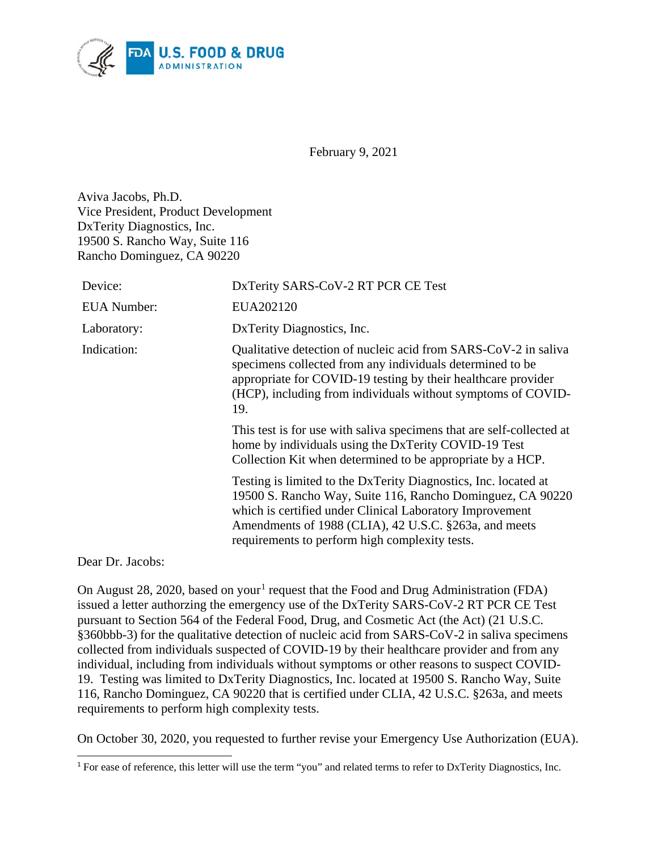

February 9, 2021

Aviva Jacobs, Ph.D. Vice President, Product Development DxTerity Diagnostics, Inc. 19500 S. Rancho Way, Suite 116 Rancho Dominguez, CA 90220

| Device:            | DxTerity SARS-CoV-2 RT PCR CE Test                                                                                                                                                                                                                                                                   |
|--------------------|------------------------------------------------------------------------------------------------------------------------------------------------------------------------------------------------------------------------------------------------------------------------------------------------------|
| <b>EUA</b> Number: | EUA202120                                                                                                                                                                                                                                                                                            |
| Laboratory:        | DxTerity Diagnostics, Inc.                                                                                                                                                                                                                                                                           |
| Indication:        | Qualitative detection of nucleic acid from SARS-CoV-2 in saliva<br>specimens collected from any individuals determined to be<br>appropriate for COVID-19 testing by their healthcare provider<br>(HCP), including from individuals without symptoms of COVID-<br>19.                                 |
|                    | This test is for use with saliva specimens that are self-collected at<br>home by individuals using the DxTerity COVID-19 Test<br>Collection Kit when determined to be appropriate by a HCP.                                                                                                          |
|                    | Testing is limited to the DxTerity Diagnostics, Inc. located at<br>19500 S. Rancho Way, Suite 116, Rancho Dominguez, CA 90220<br>which is certified under Clinical Laboratory Improvement<br>Amendments of 1988 (CLIA), 42 U.S.C. §263a, and meets<br>requirements to perform high complexity tests. |

Dear Dr. Jacobs:

 $\overline{a}$ 

On August 28, 2020, based on your<sup>[1](#page-0-0)</sup> request that the Food and Drug Administration (FDA) issued a letter authorzing the emergency use of the DxTerity SARS-CoV-2 RT PCR CE Test pursuant to Section 564 of the Federal Food, Drug, and Cosmetic Act (the Act) (21 U.S.C. §360bbb-3) for the qualitative detection of nucleic acid from SARS-CoV-2 in saliva specimens collected from individuals suspected of COVID-19 by their healthcare provider and from any individual, including from individuals without symptoms or other reasons to suspect COVID-19. Testing was limited to DxTerity Diagnostics, Inc. located at 19500 S. Rancho Way, Suite 116, Rancho Dominguez, CA 90220 that is certified under CLIA, 42 U.S.C. §263a, and meets requirements to perform high complexity tests.

On October 30, 2020, you requested to further revise your Emergency Use Authorization (EUA).

<span id="page-0-0"></span><sup>1</sup> For ease of reference, this letter will use the term "you" and related terms to refer to DxTerity Diagnostics, Inc.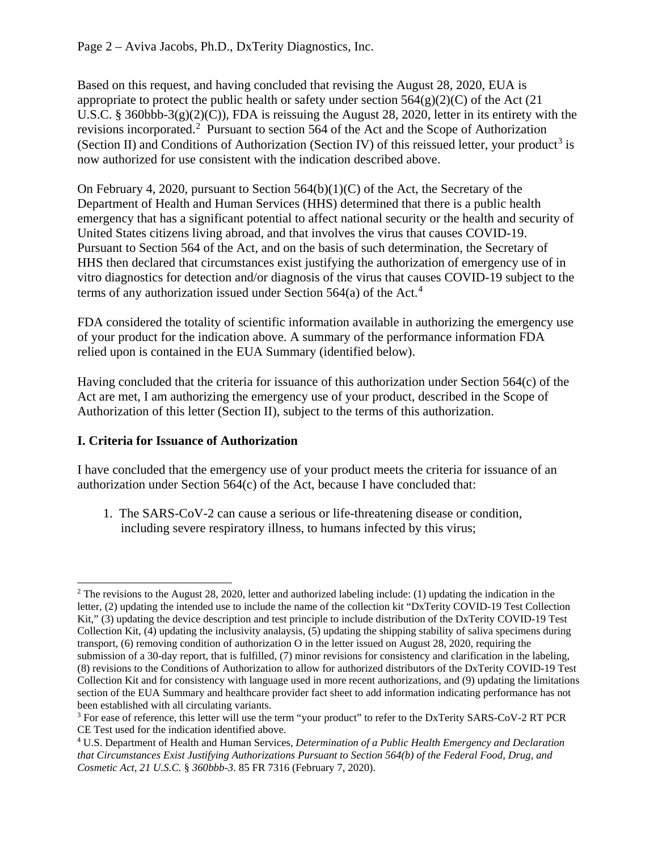Based on this request, and having concluded that revising the August 28, 2020, EUA is appropriate to protect the public health or safety under section  $564(g)(2)(C)$  of the Act (21) U.S.C. § 360bbb-3(g)(2)(C)), FDA is reissuing the August 28, 2020, letter in its entirety with the revisions incorporated. [2](#page-1-0) Pursuant to section 564 of the Act and the Scope of Authorization (Section II) and Conditions of Authorization (Section IV) of this reissued letter, your product<sup>[3](#page-1-1)</sup> is now authorized for use consistent with the indication described above.

On February 4, 2020, pursuant to Section 564(b)(1)(C) of the Act, the Secretary of the Department of Health and Human Services (HHS) determined that there is a public health emergency that has a significant potential to affect national security or the health and security of United States citizens living abroad, and that involves the virus that causes COVID-19. Pursuant to Section 564 of the Act, and on the basis of such determination, the Secretary of HHS then declared that circumstances exist justifying the authorization of emergency use of in vitro diagnostics for detection and/or diagnosis of the virus that causes COVID-19 subject to the terms of any authorization issued under Section 564(a) of the Act. [4](#page-1-2)

FDA considered the totality of scientific information available in authorizing the emergency use of your product for the indication above. A summary of the performance information FDA relied upon is contained in the EUA Summary (identified below).

Having concluded that the criteria for issuance of this authorization under Section 564(c) of the Act are met, I am authorizing the emergency use of your product, described in the Scope of Authorization of this letter (Section II), subject to the terms of this authorization.

### **I. Criteria for Issuance of Authorization**

I have concluded that the emergency use of your product meets the criteria for issuance of an authorization under Section 564(c) of the Act, because I have concluded that:

1. The SARS-CoV-2 can cause a serious or life-threatening disease or condition, including severe respiratory illness, to humans infected by this virus;

<span id="page-1-0"></span> $2$  The revisions to the August 28, 2020, letter and authorized labeling include: (1) updating the indication in the letter, (2) updating the intended use to include the name of the collection kit "DxTerity COVID-19 Test Collection Kit," (3) updating the device description and test principle to include distribution of the DxTerity COVID-19 Test Collection Kit, (4) updating the inclusivity analaysis, (5) updating the shipping stability of saliva specimens during transport, (6) removing condition of authorization O in the letter issued on August 28, 2020, requiring the submission of a 30-day report, that is fulfilled, (7) minor revisions for consistency and clarification in the labeling, (8) revisions to the Conditions of Authorization to allow for authorized distributors of the DxTerity COVID-19 Test Collection Kit and for consistency with language used in more recent authorizations, and (9) updating the limitations section of the EUA Summary and healthcare provider fact sheet to add information indicating performance has not been established with all circulating variants.

<span id="page-1-1"></span><sup>&</sup>lt;sup>3</sup> For ease of reference, this letter will use the term "your product" to refer to the DxTerity SARS-CoV-2 RT PCR CE Test used for the indication identified above.

<span id="page-1-2"></span><sup>4</sup> U.S. Department of Health and Human Services, *Determination of a Public Health Emergency and Declaration that Circumstances Exist Justifying Authorizations Pursuant to Section 564(b) of the Federal Food, Drug, and Cosmetic Act, 21 U.S.C.* § *360bbb-3*. 85 FR 7316 (February 7, 2020).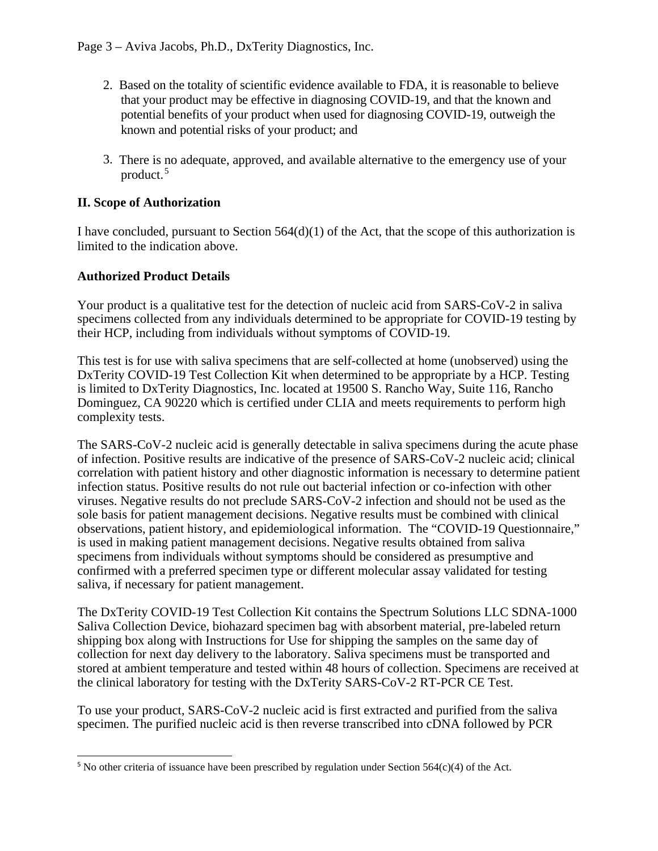- 2. Based on the totality of scientific evidence available to FDA, it is reasonable to believe that your product may be effective in diagnosing COVID-19, and that the known and potential benefits of your product when used for diagnosing COVID-19, outweigh the known and potential risks of your product; and
- 3. There is no adequate, approved, and available alternative to the emergency use of your product. [5](#page-2-0)

### **II. Scope of Authorization**

I have concluded, pursuant to Section 564(d)(1) of the Act, that the scope of this authorization is limited to the indication above.

#### **Authorized Product Details**

Your product is a qualitative test for the detection of nucleic acid from SARS-CoV-2 in saliva specimens collected from any individuals determined to be appropriate for COVID-19 testing by their HCP, including from individuals without symptoms of COVID-19.

This test is for use with saliva specimens that are self-collected at home (unobserved) using the DxTerity COVID-19 Test Collection Kit when determined to be appropriate by a HCP. Testing is limited to DxTerity Diagnostics, Inc. located at 19500 S. Rancho Way, Suite 116, Rancho Dominguez, CA 90220 which is certified under CLIA and meets requirements to perform high complexity tests.

The SARS-CoV-2 nucleic acid is generally detectable in saliva specimens during the acute phase of infection. Positive results are indicative of the presence of SARS-CoV-2 nucleic acid; clinical correlation with patient history and other diagnostic information is necessary to determine patient infection status. Positive results do not rule out bacterial infection or co-infection with other viruses. Negative results do not preclude SARS-CoV-2 infection and should not be used as the sole basis for patient management decisions. Negative results must be combined with clinical observations, patient history, and epidemiological information. The "COVID-19 Questionnaire," is used in making patient management decisions. Negative results obtained from saliva specimens from individuals without symptoms should be considered as presumptive and confirmed with a preferred specimen type or different molecular assay validated for testing saliva, if necessary for patient management.

The DxTerity COVID-19 Test Collection Kit contains the Spectrum Solutions LLC SDNA-1000 Saliva Collection Device, biohazard specimen bag with absorbent material, pre-labeled return shipping box along with Instructions for Use for shipping the samples on the same day of collection for next day delivery to the laboratory. Saliva specimens must be transported and stored at ambient temperature and tested within 48 hours of collection. Specimens are received at the clinical laboratory for testing with the DxTerity SARS-CoV-2 RT-PCR CE Test.

To use your product, SARS-CoV-2 nucleic acid is first extracted and purified from the saliva specimen. The purified nucleic acid is then reverse transcribed into cDNA followed by PCR

<span id="page-2-0"></span> $\overline{a}$ <sup>5</sup> No other criteria of issuance have been prescribed by regulation under Section  $564(c)(4)$  of the Act.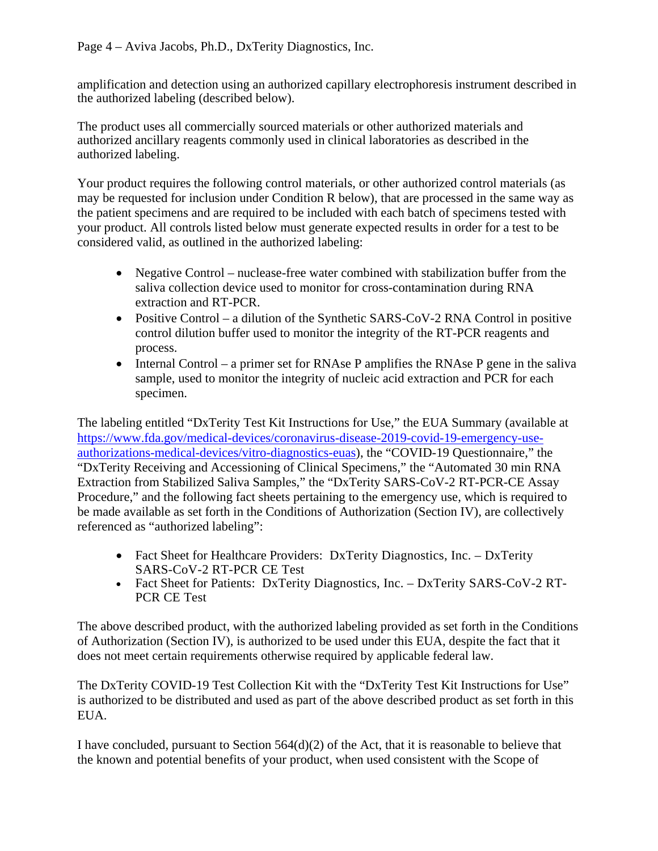amplification and detection using an authorized capillary electrophoresis instrument described in the authorized labeling (described below).

The product uses all commercially sourced materials or other authorized materials and authorized ancillary reagents commonly used in clinical laboratories as described in the authorized labeling.

Your product requires the following control materials, or other authorized control materials (as may be requested for inclusion under Condition R below), that are processed in the same way as the patient specimens and are required to be included with each batch of specimens tested with your product. All controls listed below must generate expected results in order for a test to be considered valid, as outlined in the authorized labeling:

- Negative Control nuclease-free water combined with stabilization buffer from the saliva collection device used to monitor for cross-contamination during RNA extraction and RT-PCR.
- Positive Control a dilution of the Synthetic SARS-CoV-2 RNA Control in positive control dilution buffer used to monitor the integrity of the RT-PCR reagents and process.
- Internal Control a primer set for RNAse P amplifies the RNAse P gene in the saliva sample, used to monitor the integrity of nucleic acid extraction and PCR for each specimen.

The labeling entitled "DxTerity Test Kit Instructions for Use," the EUA Summary (available at [https://www.fda.gov/medical-devices/coronavirus-disease-2019-covid-19-emergency-use](https://www.fda.gov/medical-devices/coronavirus-disease-2019-covid-19-emergency-use-authorizations-medical-devices/vitro-diagnostics-euas)[authorizations-medical-devices/vitro-diagnostics-euas\)](https://www.fda.gov/medical-devices/coronavirus-disease-2019-covid-19-emergency-use-authorizations-medical-devices/vitro-diagnostics-euas), the "COVID-19 Questionnaire," the "DxTerity Receiving and Accessioning of Clinical Specimens," the "Automated 30 min RNA Extraction from Stabilized Saliva Samples," the "DxTerity SARS-CoV-2 RT-PCR-CE Assay Procedure," and the following fact sheets pertaining to the emergency use, which is required to be made available as set forth in the Conditions of Authorization (Section IV), are collectively referenced as "authorized labeling":

- Fact Sheet for Healthcare Providers: DxTerity Diagnostics, Inc. DxTerity SARS-CoV-2 RT-PCR CE Test
- Fact Sheet for Patients: DxTerity Diagnostics, Inc. DxTerity SARS-CoV-2 RT-PCR CE Test

The above described product, with the authorized labeling provided as set forth in the Conditions of Authorization (Section IV), is authorized to be used under this EUA, despite the fact that it does not meet certain requirements otherwise required by applicable federal law.

The DxTerity COVID-19 Test Collection Kit with the "DxTerity Test Kit Instructions for Use" is authorized to be distributed and used as part of the above described product as set forth in this EUA.

I have concluded, pursuant to Section  $564(d)(2)$  of the Act, that it is reasonable to believe that the known and potential benefits of your product, when used consistent with the Scope of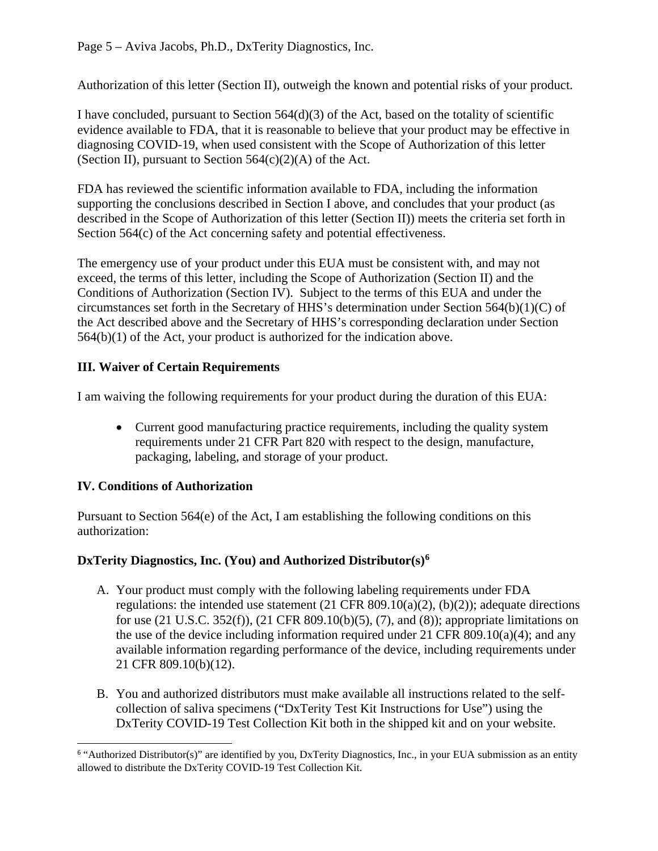Authorization of this letter (Section II), outweigh the known and potential risks of your product.

I have concluded, pursuant to Section 564(d)(3) of the Act, based on the totality of scientific evidence available to FDA, that it is reasonable to believe that your product may be effective in diagnosing COVID-19, when used consistent with the Scope of Authorization of this letter (Section II), pursuant to Section  $564(c)(2)(A)$  of the Act.

FDA has reviewed the scientific information available to FDA, including the information supporting the conclusions described in Section I above, and concludes that your product (as described in the Scope of Authorization of this letter (Section II)) meets the criteria set forth in Section 564(c) of the Act concerning safety and potential effectiveness.

The emergency use of your product under this EUA must be consistent with, and may not exceed, the terms of this letter, including the Scope of Authorization (Section II) and the Conditions of Authorization (Section IV). Subject to the terms of this EUA and under the circumstances set forth in the Secretary of HHS's determination under Section 564(b)(1)(C) of the Act described above and the Secretary of HHS's corresponding declaration under Section 564(b)(1) of the Act, your product is authorized for the indication above.

# **III. Waiver of Certain Requirements**

I am waiving the following requirements for your product during the duration of this EUA:

• Current good manufacturing practice requirements, including the quality system requirements under 21 CFR Part 820 with respect to the design, manufacture, packaging, labeling, and storage of your product.

# **IV. Conditions of Authorization**

Pursuant to Section 564(e) of the Act, I am establishing the following conditions on this authorization:

## **DxTerity Diagnostics, Inc. (You) and Authorized Distributor(s)[6](#page-4-0)**

- A. Your product must comply with the following labeling requirements under FDA regulations: the intended use statement  $(21 \text{ CFR } 809.10(a)(2), (b)(2))$ ; adequate directions for use (21 U.S.C. 352(f)), (21 CFR 809.10(b)(5), (7), and (8)); appropriate limitations on the use of the device including information required under 21 CFR 809.10(a)(4); and any available information regarding performance of the device, including requirements under 21 CFR 809.10(b)(12).
- B. You and authorized distributors must make available all instructions related to the selfcollection of saliva specimens ("DxTerity Test Kit Instructions for Use") using the DxTerity COVID-19 Test Collection Kit both in the shipped kit and on your website.

<span id="page-4-0"></span> $\overline{a}$ <sup>6</sup> "Authorized Distributor(s)" are identified by you, DxTerity Diagnostics, Inc., in your EUA submission as an entity allowed to distribute the DxTerity COVID-19 Test Collection Kit.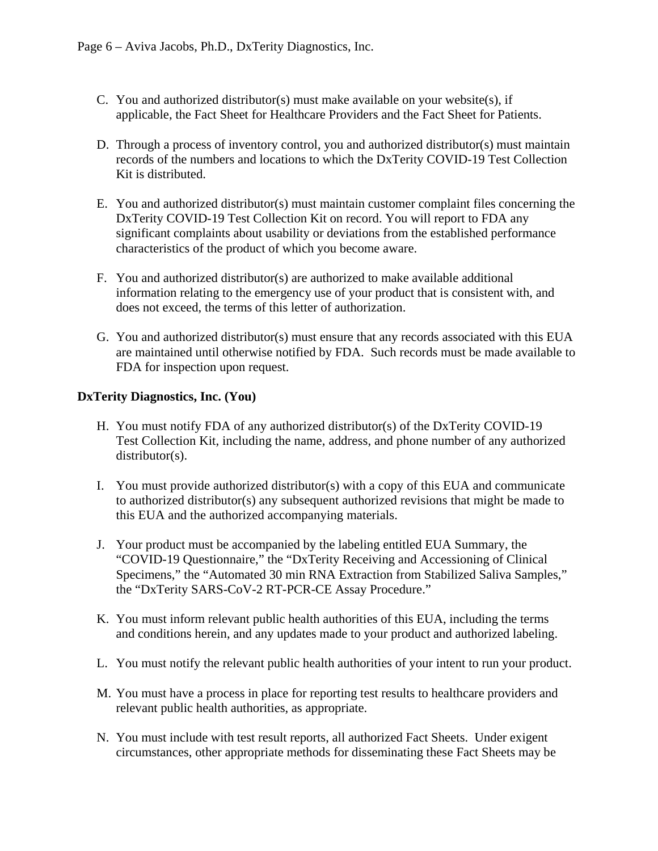- C. You and authorized distributor(s) must make available on your website(s), if applicable, the Fact Sheet for Healthcare Providers and the Fact Sheet for Patients.
- D. Through a process of inventory control, you and authorized distributor(s) must maintain records of the numbers and locations to which the DxTerity COVID-19 Test Collection Kit is distributed.
- E. You and authorized distributor(s) must maintain customer complaint files concerning the DxTerity COVID-19 Test Collection Kit on record. You will report to FDA any significant complaints about usability or deviations from the established performance characteristics of the product of which you become aware.
- F. You and authorized distributor(s) are authorized to make available additional information relating to the emergency use of your product that is consistent with, and does not exceed, the terms of this letter of authorization.
- G. You and authorized distributor(s) must ensure that any records associated with this EUA are maintained until otherwise notified by FDA. Such records must be made available to FDA for inspection upon request.

### **DxTerity Diagnostics, Inc. (You)**

- H. You must notify FDA of any authorized distributor(s) of the DxTerity COVID-19 Test Collection Kit, including the name, address, and phone number of any authorized distributor(s).
- I. You must provide authorized distributor(s) with a copy of this EUA and communicate to authorized distributor(s) any subsequent authorized revisions that might be made to this EUA and the authorized accompanying materials.
- J. Your product must be accompanied by the labeling entitled EUA Summary, the "COVID-19 Questionnaire," the "DxTerity Receiving and Accessioning of Clinical Specimens," the "Automated 30 min RNA Extraction from Stabilized Saliva Samples," the "DxTerity SARS-CoV-2 RT-PCR-CE Assay Procedure."
- K. You must inform relevant public health authorities of this EUA, including the terms and conditions herein, and any updates made to your product and authorized labeling.
- L. You must notify the relevant public health authorities of your intent to run your product.
- M. You must have a process in place for reporting test results to healthcare providers and relevant public health authorities, as appropriate.
- N. You must include with test result reports, all authorized Fact Sheets. Under exigent circumstances, other appropriate methods for disseminating these Fact Sheets may be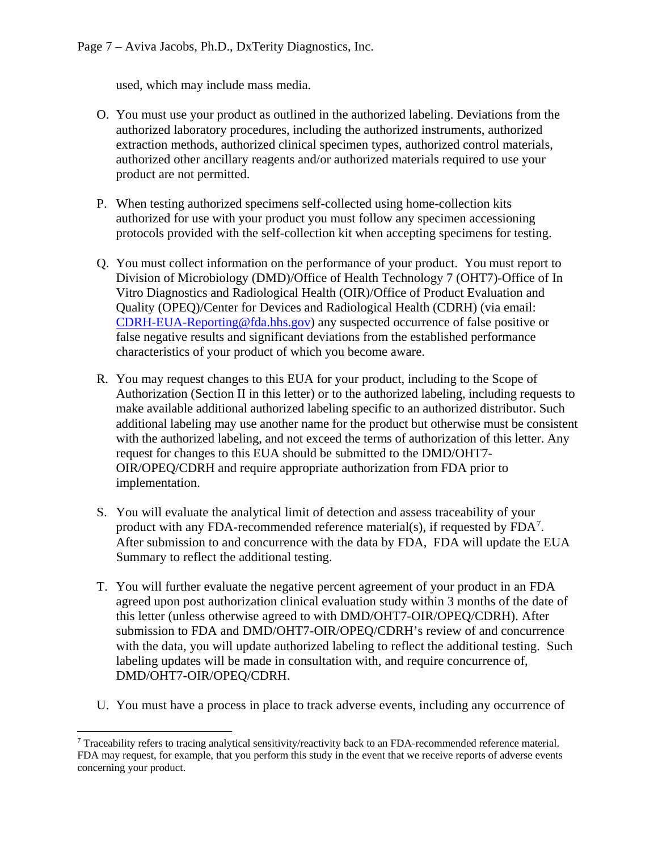used, which may include mass media.

- O. You must use your product as outlined in the authorized labeling. Deviations from the authorized laboratory procedures, including the authorized instruments, authorized extraction methods, authorized clinical specimen types, authorized control materials, authorized other ancillary reagents and/or authorized materials required to use your product are not permitted.
- P. When testing authorized specimens self-collected using home-collection kits authorized for use with your product you must follow any specimen accessioning protocols provided with the self-collection kit when accepting specimens for testing.
- Q. You must collect information on the performance of your product. You must report to Division of Microbiology (DMD)/Office of Health Technology 7 (OHT7)-Office of In Vitro Diagnostics and Radiological Health (OIR)/Office of Product Evaluation and Quality (OPEQ)/Center for Devices and Radiological Health (CDRH) (via email: [CDRH-EUA-Reporting@fda.hhs.gov\)](mailto:CDRH-EUA-Reporting@fda.hhs.gov) any suspected occurrence of false positive or false negative results and significant deviations from the established performance characteristics of your product of which you become aware.
- R. You may request changes to this EUA for your product, including to the Scope of Authorization (Section II in this letter) or to the authorized labeling, including requests to make available additional authorized labeling specific to an authorized distributor. Such additional labeling may use another name for the product but otherwise must be consistent with the authorized labeling, and not exceed the terms of authorization of this letter. Any request for changes to this EUA should be submitted to the DMD/OHT7- OIR/OPEQ/CDRH and require appropriate authorization from FDA prior to implementation.
- S. You will evaluate the analytical limit of detection and assess traceability of your product with any FDA-recommended reference material(s), if requested by  $FDA<sup>7</sup>$  $FDA<sup>7</sup>$  $FDA<sup>7</sup>$ . After submission to and concurrence with the data by FDA, FDA will update the EUA Summary to reflect the additional testing.
- T. You will further evaluate the negative percent agreement of your product in an FDA agreed upon post authorization clinical evaluation study within 3 months of the date of this letter (unless otherwise agreed to with DMD/OHT7-OIR/OPEQ/CDRH). After submission to FDA and DMD/OHT7-OIR/OPEQ/CDRH's review of and concurrence with the data, you will update authorized labeling to reflect the additional testing. Such labeling updates will be made in consultation with, and require concurrence of, DMD/OHT7-OIR/OPEQ/CDRH.
- U. You must have a process in place to track adverse events, including any occurrence of

<span id="page-6-0"></span> <sup>7</sup> Traceability refers to tracing analytical sensitivity/reactivity back to an FDA-recommended reference material. FDA may request, for example, that you perform this study in the event that we receive reports of adverse events concerning your product.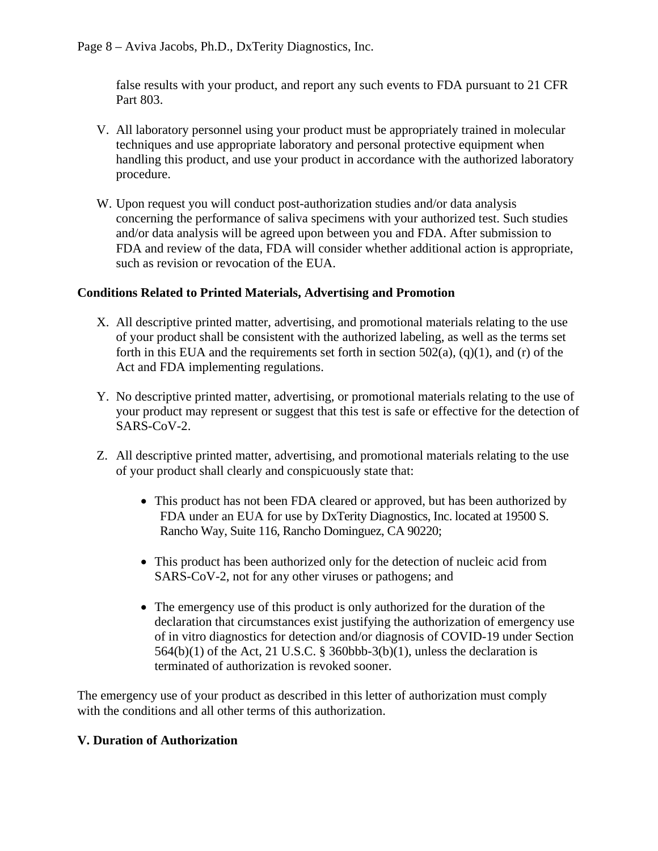false results with your product, and report any such events to FDA pursuant to 21 CFR Part 803.

- V. All laboratory personnel using your product must be appropriately trained in molecular techniques and use appropriate laboratory and personal protective equipment when handling this product, and use your product in accordance with the authorized laboratory procedure.
- W. Upon request you will conduct post-authorization studies and/or data analysis concerning the performance of saliva specimens with your authorized test. Such studies and/or data analysis will be agreed upon between you and FDA. After submission to FDA and review of the data, FDA will consider whether additional action is appropriate, such as revision or revocation of the EUA.

### **Conditions Related to Printed Materials, Advertising and Promotion**

- X. All descriptive printed matter, advertising, and promotional materials relating to the use of your product shall be consistent with the authorized labeling, as well as the terms set forth in this EUA and the requirements set forth in section  $502(a)$ ,  $(q)(1)$ , and  $(r)$  of the Act and FDA implementing regulations.
- Y. No descriptive printed matter, advertising, or promotional materials relating to the use of your product may represent or suggest that this test is safe or effective for the detection of SARS-CoV-2.
- Z. All descriptive printed matter, advertising, and promotional materials relating to the use of your product shall clearly and conspicuously state that:
	- This product has not been FDA cleared or approved, but has been authorized by FDA under an EUA for use by DxTerity Diagnostics, Inc. located at 19500 S. Rancho Way, Suite 116, Rancho Dominguez, CA 90220;
	- This product has been authorized only for the detection of nucleic acid from SARS-CoV-2, not for any other viruses or pathogens; and
	- The emergency use of this product is only authorized for the duration of the declaration that circumstances exist justifying the authorization of emergency use of in vitro diagnostics for detection and/or diagnosis of COVID-19 under Section 564(b)(1) of the Act, 21 U.S.C. § 360bbb-3(b)(1), unless the declaration is terminated of authorization is revoked sooner.

The emergency use of your product as described in this letter of authorization must comply with the conditions and all other terms of this authorization.

#### **V. Duration of Authorization**